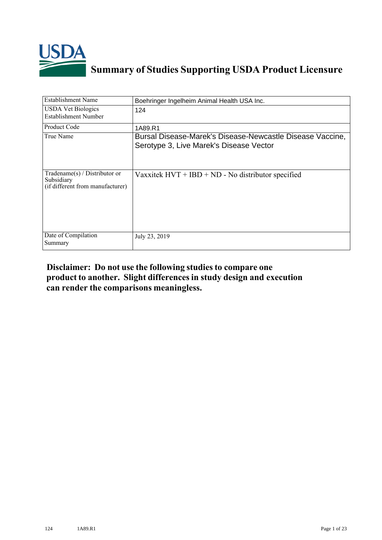

## **Summary of Studies Supporting USDA Product Licensure**

| <b>Establishment Name</b>                                                       | Boehringer Ingelheim Animal Health USA Inc.                                                          |
|---------------------------------------------------------------------------------|------------------------------------------------------------------------------------------------------|
| <b>USDA Vet Biologics</b><br>Establishment Number                               | 124                                                                                                  |
| Product Code                                                                    | 1A89.R1                                                                                              |
| True Name                                                                       | Bursal Disease-Marek's Disease-Newcastle Disease Vaccine,<br>Serotype 3, Live Marek's Disease Vector |
| Tradename(s) / Distributor or<br>Subsidiary<br>(if different from manufacturer) | Vaxxitek $HVT + IBD + ND - No$ distributor specified                                                 |
| Date of Compilation<br>Summary                                                  | July 23, 2019                                                                                        |

## **Disclaimer: Do not use the following studiesto compare one product to another. Slight differencesin study design and execution can render the comparisons meaningless.**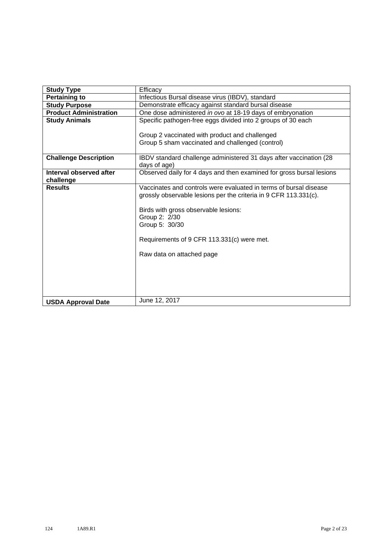| <b>Study Type</b>                    | Efficacy                                                                                                                                                                                                                                                                                    |  |  |  |  |  |
|--------------------------------------|---------------------------------------------------------------------------------------------------------------------------------------------------------------------------------------------------------------------------------------------------------------------------------------------|--|--|--|--|--|
| <b>Pertaining to</b>                 | Infectious Bursal disease virus (IBDV), standard                                                                                                                                                                                                                                            |  |  |  |  |  |
| <b>Study Purpose</b>                 | Demonstrate efficacy against standard bursal disease                                                                                                                                                                                                                                        |  |  |  |  |  |
| <b>Product Administration</b>        | One dose administered in ovo at 18-19 days of embryonation                                                                                                                                                                                                                                  |  |  |  |  |  |
| <b>Study Animals</b>                 | Specific pathogen-free eggs divided into 2 groups of 30 each                                                                                                                                                                                                                                |  |  |  |  |  |
|                                      | Group 2 vaccinated with product and challenged<br>Group 5 sham vaccinated and challenged (control)                                                                                                                                                                                          |  |  |  |  |  |
| <b>Challenge Description</b>         | IBDV standard challenge administered 31 days after vaccination (28<br>days of age)                                                                                                                                                                                                          |  |  |  |  |  |
| Interval observed after<br>challenge | Observed daily for 4 days and then examined for gross bursal lesions                                                                                                                                                                                                                        |  |  |  |  |  |
| <b>Results</b>                       | Vaccinates and controls were evaluated in terms of bursal disease<br>grossly observable lesions per the criteria in 9 CFR 113.331(c).<br>Birds with gross observable lesions:<br>Group 2: 2/30<br>Group 5: 30/30<br>Requirements of 9 CFR 113.331(c) were met.<br>Raw data on attached page |  |  |  |  |  |
| <b>USDA Approval Date</b>            | June 12, 2017                                                                                                                                                                                                                                                                               |  |  |  |  |  |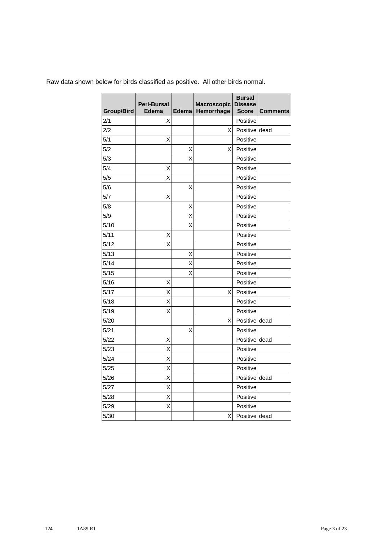| <b>Group/Bird</b> | Peri-Bursal<br><b>Edema</b> | Edema | Macroscopic<br>Hemorrhage | <b>Bursal</b><br><b>Disease</b><br><b>Score</b> | <b>Comments</b> |
|-------------------|-----------------------------|-------|---------------------------|-------------------------------------------------|-----------------|
| 2/1               | X                           |       |                           | Positive                                        |                 |
| 2/2               |                             |       | X                         | Positive dead                                   |                 |
| 5/1               | Χ                           |       |                           | Positive                                        |                 |
| 5/2               |                             | X     | X                         | Positive                                        |                 |
| 5/3               |                             | Χ     |                           | Positive                                        |                 |
| 5/4               | Χ                           |       |                           | Positive                                        |                 |
| 5/5               | X                           |       |                           | Positive                                        |                 |
| 5/6               |                             | Χ     |                           | Positive                                        |                 |
| 5/7               | X                           |       |                           | Positive                                        |                 |
| 5/8               |                             | Х     |                           | Positive                                        |                 |
| 5/9               |                             | Χ     |                           | Positive                                        |                 |
| 5/10              |                             | Χ     |                           | Positive                                        |                 |
| 5/11              | X                           |       |                           | Positive                                        |                 |
| 5/12              | X                           |       |                           | Positive                                        |                 |
| 5/13              |                             | Χ     |                           | Positive                                        |                 |
| 5/14              |                             | X     |                           | Positive                                        |                 |
| 5/15              |                             | Χ     |                           | Positive                                        |                 |
| 5/16              | Χ                           |       |                           | Positive                                        |                 |
| 5/17              | Χ                           |       | X                         | Positive                                        |                 |
| 5/18              | Χ                           |       |                           | Positive                                        |                 |
| 5/19              | X                           |       |                           | Positive                                        |                 |
| 5/20              |                             |       | Χ                         | Positive dead                                   |                 |
| 5/21              |                             | Χ     |                           | Positive                                        |                 |
| 5/22              | Χ                           |       |                           | Positive dead                                   |                 |
| 5/23              | Χ                           |       |                           | Positive                                        |                 |
| 5/24              | X                           |       |                           | Positive                                        |                 |
| 5/25              | X                           |       |                           | Positive                                        |                 |
| 5/26              | X                           |       |                           | Positive dead                                   |                 |
| 5/27              | X                           |       |                           | Positive                                        |                 |
| 5/28              | Χ                           |       |                           | Positive                                        |                 |
| 5/29              | X                           |       |                           | Positive                                        |                 |
| 5/30              |                             |       | X                         | Positive dead                                   |                 |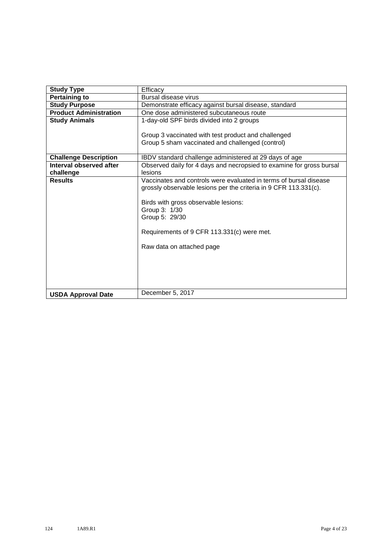| <b>Study Type</b>             | Efficacy                                                                                                                              |  |  |  |  |  |
|-------------------------------|---------------------------------------------------------------------------------------------------------------------------------------|--|--|--|--|--|
| <b>Pertaining to</b>          | <b>Bursal disease virus</b>                                                                                                           |  |  |  |  |  |
| <b>Study Purpose</b>          | Demonstrate efficacy against bursal disease, standard                                                                                 |  |  |  |  |  |
| <b>Product Administration</b> | One dose administered subcutaneous route                                                                                              |  |  |  |  |  |
| <b>Study Animals</b>          | 1-day-old SPF birds divided into 2 groups                                                                                             |  |  |  |  |  |
|                               | Group 3 vaccinated with test product and challenged                                                                                   |  |  |  |  |  |
|                               | Group 5 sham vaccinated and challenged (control)                                                                                      |  |  |  |  |  |
| <b>Challenge Description</b>  | IBDV standard challenge administered at 29 days of age                                                                                |  |  |  |  |  |
| Interval observed after       | Observed daily for 4 days and necropsied to examine for gross bursal                                                                  |  |  |  |  |  |
| challenge                     | lesions                                                                                                                               |  |  |  |  |  |
| <b>Results</b>                | Vaccinates and controls were evaluated in terms of bursal disease<br>grossly observable lesions per the criteria in 9 CFR 113.331(c). |  |  |  |  |  |
|                               | Birds with gross observable lesions:                                                                                                  |  |  |  |  |  |
|                               | Group 3: 1/30                                                                                                                         |  |  |  |  |  |
|                               | Group 5: 29/30                                                                                                                        |  |  |  |  |  |
|                               | Requirements of 9 CFR 113.331(c) were met.                                                                                            |  |  |  |  |  |
|                               | Raw data on attached page                                                                                                             |  |  |  |  |  |
|                               |                                                                                                                                       |  |  |  |  |  |
|                               |                                                                                                                                       |  |  |  |  |  |
|                               |                                                                                                                                       |  |  |  |  |  |
| <b>USDA Approval Date</b>     | December 5, 2017                                                                                                                      |  |  |  |  |  |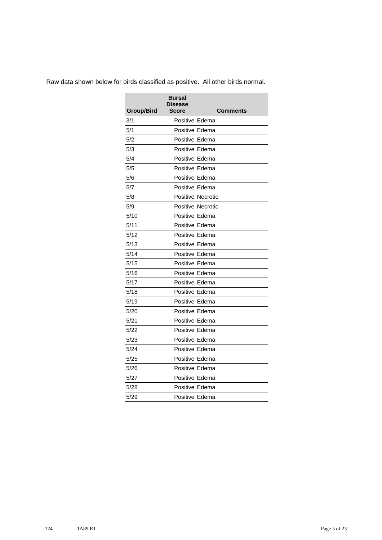| <b>Group/Bird</b> | <b>Bursal</b><br><b>Disease</b><br>Score | <b>Comments</b>          |
|-------------------|------------------------------------------|--------------------------|
| 3/1               | Positive Edema                           |                          |
| 5/1               | Positive Edema                           |                          |
| 5/2               | Positive Edema                           |                          |
| 5/3               | Positive I Edema                         |                          |
| 5/4               | Positive Edema                           |                          |
| 5/5               | Positive Edema                           |                          |
| 5/6               | Positive Edema                           |                          |
| 5/7               | Positive Edema                           |                          |
| 5/8               |                                          | Positive Necrotic        |
| 5/9               |                                          | <b>Positive Necrotic</b> |
| 5/10              | Positive Edema                           |                          |
| 5/11              | Positive Edema                           |                          |
| 5/12              | Positive I Edema                         |                          |
| 5/13              | Positive Edema                           |                          |
| 5/14              | Positive Edema                           |                          |
| 5/15              | Positive Edema                           |                          |
| 5/16              | Positive Edema                           |                          |
| 5/17              | Positive Edema                           |                          |
| 5/18              | Positive Edema                           |                          |
| 5/19              | Positive Edema                           |                          |
| 5/20              | Positive Edema                           |                          |
| 5/21              | Positive Edema                           |                          |
| 5/22              | Positive Edema                           |                          |
| 5/23              | Positive Edema                           |                          |
| 5/24              | Positive Edema                           |                          |
| 5/25              | Positive Edema                           |                          |
| 5/26              | Positive Edema                           |                          |
| 5/27              | Positive Edema                           |                          |
| 5/28              | Positive Edema                           |                          |
| 5/29              | Positive Edema                           |                          |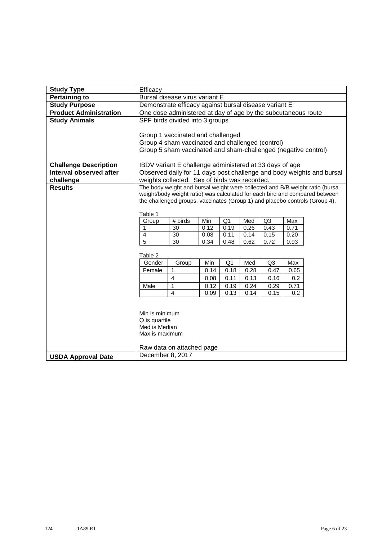| <b>Study Type</b>             | Efficacy                                                                              |                                                                |      |                |      |                |      |                                                                              |
|-------------------------------|---------------------------------------------------------------------------------------|----------------------------------------------------------------|------|----------------|------|----------------|------|------------------------------------------------------------------------------|
| <b>Pertaining to</b>          | Bursal disease virus variant E                                                        |                                                                |      |                |      |                |      |                                                                              |
| <b>Study Purpose</b>          |                                                                                       | Demonstrate efficacy against bursal disease variant E          |      |                |      |                |      |                                                                              |
| <b>Product Administration</b> | One dose administered at day of age by the subcutaneous route                         |                                                                |      |                |      |                |      |                                                                              |
| <b>Study Animals</b>          |                                                                                       | SPF birds divided into 3 groups                                |      |                |      |                |      |                                                                              |
|                               |                                                                                       |                                                                |      |                |      |                |      |                                                                              |
|                               | Group 1 vaccinated and challenged<br>Group 4 sham vaccinated and challenged (control) |                                                                |      |                |      |                |      |                                                                              |
|                               |                                                                                       |                                                                |      |                |      |                |      |                                                                              |
|                               |                                                                                       | Group 5 sham vaccinated and sham-challenged (negative control) |      |                |      |                |      |                                                                              |
| <b>Challenge Description</b>  |                                                                                       | IBDV variant E challenge administered at 33 days of age        |      |                |      |                |      |                                                                              |
| Interval observed after       |                                                                                       |                                                                |      |                |      |                |      | Observed daily for 11 days post challenge and body weights and bursal        |
| challenge                     |                                                                                       | weights collected. Sex of birds was recorded.                  |      |                |      |                |      |                                                                              |
| <b>Results</b>                |                                                                                       |                                                                |      |                |      |                |      | The body weight and bursal weight were collected and B/B weight ratio (bursa |
|                               |                                                                                       |                                                                |      |                |      |                |      | weight/body weight ratio) was calculated for each bird and compared between  |
|                               | the challenged groups: vaccinates (Group 1) and placebo controls (Group 4).           |                                                                |      |                |      |                |      |                                                                              |
|                               | Table 1                                                                               |                                                                |      |                |      |                |      |                                                                              |
|                               | Group                                                                                 | # birds                                                        | Min  | Q <sub>1</sub> | Med  | Q <sub>3</sub> | Max  |                                                                              |
|                               | 1                                                                                     | 30                                                             | 0.12 | 0.19           | 0.26 | 0.43           | 0.71 |                                                                              |
|                               | 4                                                                                     | 30                                                             | 0.08 | 0.11           | 0.14 | 0.15           | 0.20 |                                                                              |
|                               | $\overline{5}$                                                                        | 30                                                             | 0.34 | 0.48           | 0.62 | 0.72           | 0.93 |                                                                              |
|                               | Table 2                                                                               |                                                                |      |                |      |                |      |                                                                              |
|                               | Gender                                                                                | Group                                                          | Min  | Q <sub>1</sub> | Med  | Q <sub>3</sub> | Max  |                                                                              |
|                               | Female                                                                                | 1                                                              | 0.14 | 0.18           | 0.28 | 0.47           | 0.65 |                                                                              |
|                               |                                                                                       | $\overline{4}$                                                 | 0.08 | 0.11           | 0.13 | 0.16           | 0.2  |                                                                              |
|                               | Male                                                                                  | 1                                                              | 0.12 | 0.19           | 0.24 | 0.29           | 0.71 |                                                                              |
|                               |                                                                                       | $\overline{4}$                                                 | 0.09 | 0.13           | 0.14 | 0.15           | 0.2  |                                                                              |
|                               |                                                                                       |                                                                |      |                |      |                |      |                                                                              |
|                               | Min is minimum                                                                        |                                                                |      |                |      |                |      |                                                                              |
|                               | Q is quartile                                                                         |                                                                |      |                |      |                |      |                                                                              |
|                               | Med is Median                                                                         |                                                                |      |                |      |                |      |                                                                              |
|                               | Max is maximum                                                                        |                                                                |      |                |      |                |      |                                                                              |
|                               |                                                                                       |                                                                |      |                |      |                |      |                                                                              |
|                               |                                                                                       | Raw data on attached page                                      |      |                |      |                |      |                                                                              |
| <b>USDA Approval Date</b>     | December 8, 2017                                                                      |                                                                |      |                |      |                |      |                                                                              |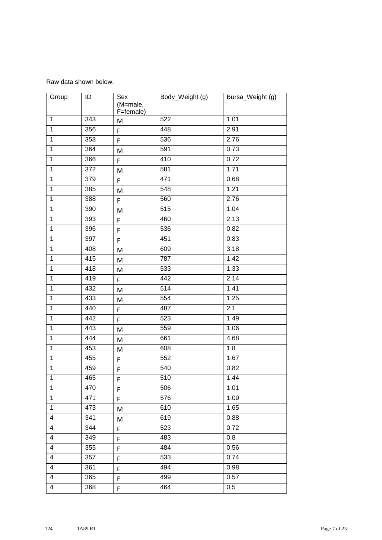Raw data shown below.

| Group                   | ID               | Sex<br>(M=male,<br>F=female) | Body_Weight (g) | Bursa_Weight (g) |
|-------------------------|------------------|------------------------------|-----------------|------------------|
| $\mathbf{1}$            | 343              | M                            | 522             | 1.01             |
| $\mathbf{1}$            | 356              | F                            | 448             | 2.91             |
| $\mathbf{1}$            | 358              | F                            | 536             | 2.76             |
| $\mathbf{1}$            | $\overline{364}$ | M                            | 591             | 0.73             |
| $\mathbf{1}$            | 366              | F                            | 410             | 0.72             |
| $\mathbf{1}$            | 372              | M                            | 581             | 1.71             |
| $\mathbf{1}$            | 379              | F                            | 471             | 0.68             |
| $\mathbf{1}$            | 385              | M                            | 548             | 1.21             |
| $\mathbf{1}$            | 388              | F                            | 560             | 2.76             |
| $\mathbf{1}$            | 390              | M                            | 515             | 1.04             |
| $\mathbf{1}$            | 393              | F                            | 460             | 2.13             |
| $\mathbf{1}$            | 396              | F                            | 536             | 0.82             |
| $\mathbf{1}$            | 397              | F                            | 451             | 0.83             |
| $\mathbf{1}$            | 408              | M                            | 609             | 3.18             |
| $\mathbf{1}$            | 415              | M                            | 787             | 1.42             |
| $\overline{1}$          | 418              | M                            | 533             | 1.33             |
| $\mathbf{1}$            | 419              | F                            | 442             | 2.14             |
| $\mathbf{1}$            | 432              | M                            | 514             | 1.41             |
| $\overline{1}$          | 433              | M                            | 554             | 1.25             |
| $\mathbf{1}$            | 440              | F                            | 487             | 2.1              |
| $\mathbf{1}$            | 442              | F                            | 523             | 1.49             |
| $\mathbf{1}$            | 443              | M                            | 559             | 1.06             |
| $\mathbf{1}$            | 444              | M                            | 661             | 4.68             |
| $\mathbf 1$             | 453              | M                            | 608             | 1.8              |
| $\mathbf{1}$            | 455              | F                            | 552             | 1.67             |
| $\mathbf{1}$            | 459              | F                            | 540             | 0.82             |
| $\vert$ 1               | 465              | F                            | 510             | 1.44             |
| 1                       | 470              | F                            | 506             | 1.01             |
| $\mathbf{1}$            | 471              | F                            | 576             | 1.09             |
| $\mathbf{1}$            | 473              | M                            | 610             | 1.65             |
| $\overline{4}$          | 341              | M                            | 619             | 0.88             |
| 4                       | 344              | F.                           | 523             | 0.72             |
| $\overline{4}$          | 349              | F                            | 483             | 0.8              |
| 4                       | 355              | F                            | 484             | 0.56             |
| $\overline{4}$          | 357              | F                            | 533             | 0.74             |
| $\overline{4}$          | 361              | F                            | 494             | 0.98             |
| $\overline{\mathbf{4}}$ | 365              | F.                           | 499             | 0.57             |
| 4                       | 368              | F.                           | 464             | 0.5              |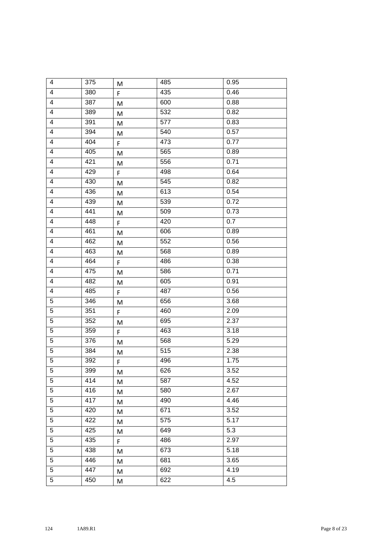| 4                        | 375 | M         | 485 | 0.95 |
|--------------------------|-----|-----------|-----|------|
| 4                        | 380 | F.        | 435 | 0.46 |
| $\overline{\mathbf{4}}$  | 387 | M         | 600 | 0.88 |
| $\overline{\mathbf{4}}$  | 389 | M         | 532 | 0.82 |
| $\overline{4}$           | 391 | M         | 577 | 0.83 |
| 4                        | 394 | ${\sf M}$ | 540 | 0.57 |
| $\overline{4}$           | 404 | F         | 473 | 0.77 |
| $\overline{\mathcal{A}}$ | 405 | M         | 565 | 0.89 |
| 4                        | 421 | M         | 556 | 0.71 |
| $\overline{4}$           | 429 | F         | 498 | 0.64 |
| 4                        | 430 | M         | 545 | 0.82 |
| $\overline{4}$           | 436 | M         | 613 | 0.54 |
| $\overline{\mathcal{A}}$ | 439 | M         | 539 | 0.72 |
| $\overline{\mathbf{4}}$  | 441 | M         | 509 | 0.73 |
| $\overline{\mathbf{4}}$  | 448 | F         | 420 | 0.7  |
| $\overline{\mathbf{4}}$  | 461 | M         | 606 | 0.89 |
| $\overline{4}$           | 462 | M         | 552 | 0.56 |
| $\overline{\mathbf{4}}$  | 463 | M         | 568 | 0.89 |
| $\overline{\mathbf{4}}$  | 464 | F         | 486 | 0.38 |
| $\overline{\mathbf{4}}$  | 475 | M         | 586 | 0.71 |
| $\overline{\mathcal{A}}$ | 482 | M         | 605 | 0.91 |
| $\overline{4}$           | 485 | F         | 487 | 0.56 |
| 5                        | 346 | M         | 656 | 3.68 |
| 5                        | 351 | F         | 460 | 2.09 |
| 5                        | 352 | M         | 695 | 2.37 |
| 5                        | 359 | F         | 463 | 3.18 |
| 5                        | 376 | M         | 568 | 5.29 |
| $\sqrt{5}$               | 384 | M         | 515 | 2.38 |
| $\overline{5}$           | 392 | F         | 496 | 1.75 |
| 5                        | 399 | M         | 626 | 3.52 |
| 5                        | 414 | M         | 587 | 4.52 |
| $\overline{5}$           | 416 | M         | 580 | 2.67 |
| 5                        | 417 | M         | 490 | 4.46 |
| 5                        | 420 | M         | 671 | 3.52 |
| 5                        | 422 | M         | 575 | 5.17 |
| 5                        | 425 | M         | 649 | 5.3  |
| 5                        | 435 | F         | 486 | 2.97 |
| 5                        | 438 | M         | 673 | 5.18 |
| 5                        | 446 | M         | 681 | 3.65 |
| 5                        | 447 | M         | 692 | 4.19 |
| $\overline{5}$           | 450 | M         | 622 | 4.5  |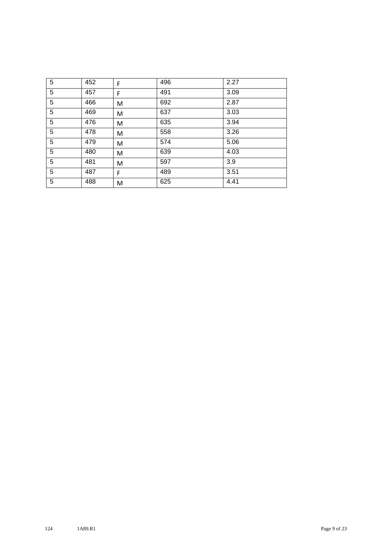| 5               | 452 | F | 496 | 2.27 |
|-----------------|-----|---|-----|------|
| 5               | 457 | F | 491 | 3.09 |
| 5               | 466 | M | 692 | 2.87 |
| $5\phantom{.0}$ | 469 | M | 637 | 3.03 |
| 5               | 476 | M | 635 | 3.94 |
| 5               | 478 | M | 558 | 3.26 |
| 5               | 479 | M | 574 | 5.06 |
| 5               | 480 | M | 639 | 4.03 |
| 5               | 481 | M | 597 | 3.9  |
| 5               | 487 | F | 489 | 3.51 |
| 5               | 488 | M | 625 | 4.41 |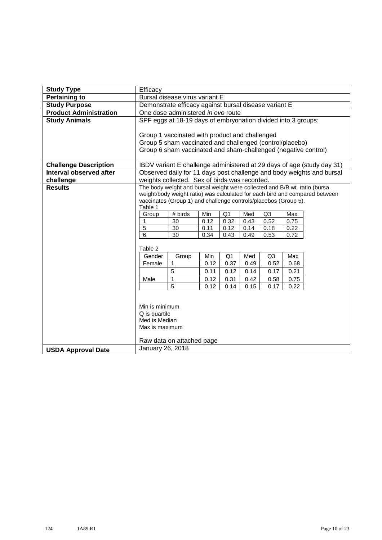| <b>Study Type</b>             | Efficacy                                                                                                                   |                                                                           |             |                        |             |                        |             |                                                                             |
|-------------------------------|----------------------------------------------------------------------------------------------------------------------------|---------------------------------------------------------------------------|-------------|------------------------|-------------|------------------------|-------------|-----------------------------------------------------------------------------|
| <b>Pertaining to</b>          | Bursal disease virus variant E                                                                                             |                                                                           |             |                        |             |                        |             |                                                                             |
| <b>Study Purpose</b>          | Demonstrate efficacy against bursal disease variant E                                                                      |                                                                           |             |                        |             |                        |             |                                                                             |
| <b>Product Administration</b> | One dose administered in ovo route                                                                                         |                                                                           |             |                        |             |                        |             |                                                                             |
| <b>Study Animals</b>          |                                                                                                                            | SPF eggs at 18-19 days of embryonation divided into 3 groups:             |             |                        |             |                        |             |                                                                             |
|                               |                                                                                                                            |                                                                           |             |                        |             |                        |             |                                                                             |
|                               | Group 1 vaccinated with product and challenged                                                                             |                                                                           |             |                        |             |                        |             |                                                                             |
|                               | Group 5 sham vaccinated and challenged (control/placebo)<br>Group 6 sham vaccinated and sham-challenged (negative control) |                                                                           |             |                        |             |                        |             |                                                                             |
|                               |                                                                                                                            |                                                                           |             |                        |             |                        |             |                                                                             |
| <b>Challenge Description</b>  |                                                                                                                            |                                                                           |             |                        |             |                        |             | IBDV variant E challenge administered at 29 days of age (study day 31)      |
| Interval observed after       |                                                                                                                            |                                                                           |             |                        |             |                        |             | Observed daily for 11 days post challenge and body weights and bursal       |
| challenge                     |                                                                                                                            | weights collected. Sex of birds was recorded.                             |             |                        |             |                        |             |                                                                             |
| <b>Results</b>                |                                                                                                                            | The body weight and bursal weight were collected and B/B wt. ratio (bursa |             |                        |             |                        |             |                                                                             |
|                               |                                                                                                                            |                                                                           |             |                        |             |                        |             | weight/body weight ratio) was calculated for each bird and compared between |
|                               |                                                                                                                            | vaccinates (Group 1) and challenge controls/placebos (Group 5).           |             |                        |             |                        |             |                                                                             |
|                               | Table 1                                                                                                                    |                                                                           |             |                        |             |                        |             |                                                                             |
|                               | Group<br>1                                                                                                                 | # birds<br>30                                                             | Min<br>0.12 | Q <sub>1</sub><br>0.32 | Med<br>0.43 | Q <sub>3</sub><br>0.52 | Max<br>0.75 |                                                                             |
|                               | 5                                                                                                                          | 30                                                                        | 0.11        | 0.12                   | 0.14        | 0.18                   | 0.22        |                                                                             |
|                               | 6                                                                                                                          | 30                                                                        | 0.34        | 0.43                   | 0.49        | 0.53                   | 0.72        |                                                                             |
|                               |                                                                                                                            |                                                                           |             |                        |             |                        |             |                                                                             |
|                               | Table 2                                                                                                                    |                                                                           |             |                        |             |                        |             |                                                                             |
|                               | Gender                                                                                                                     | Group                                                                     | Min         | Q1                     | Med         | Q3                     | Max         |                                                                             |
|                               | Female                                                                                                                     | 1                                                                         | 0.12        | 0.37                   | 0.49        | 0.52                   | 0.68        |                                                                             |
|                               |                                                                                                                            | 5                                                                         | 0.11        | 0.12                   | 0.14        | 0.17                   | 0.21        |                                                                             |
|                               | Male                                                                                                                       | 1                                                                         | 0.12        | 0.31                   | 0.42        | 0.58                   | 0.75        |                                                                             |
|                               |                                                                                                                            | 5                                                                         | 0.12        | 0.14                   | 0.15        | 0.17                   | 0.22        |                                                                             |
|                               |                                                                                                                            |                                                                           |             |                        |             |                        |             |                                                                             |
|                               |                                                                                                                            |                                                                           |             |                        |             |                        |             |                                                                             |
|                               | Min is minimum<br>Q is quartile                                                                                            |                                                                           |             |                        |             |                        |             |                                                                             |
|                               | Med is Median                                                                                                              |                                                                           |             |                        |             |                        |             |                                                                             |
|                               | Max is maximum                                                                                                             |                                                                           |             |                        |             |                        |             |                                                                             |
|                               |                                                                                                                            |                                                                           |             |                        |             |                        |             |                                                                             |
|                               |                                                                                                                            | Raw data on attached page                                                 |             |                        |             |                        |             |                                                                             |
| <b>USDA Approval Date</b>     | January 26, 2018                                                                                                           |                                                                           |             |                        |             |                        |             |                                                                             |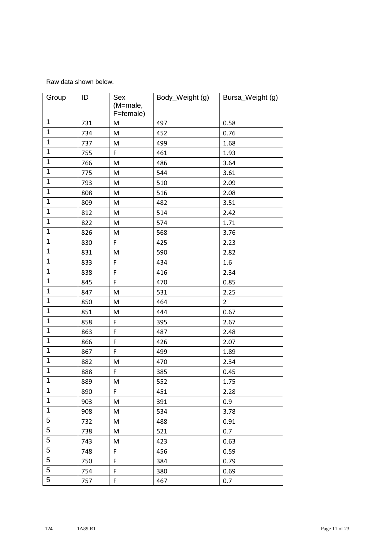Raw data shown below.

| Group          | ID  | Sex<br>(M=male,<br>F=female) | Body_Weight (g) | Bursa_Weight (g) |
|----------------|-----|------------------------------|-----------------|------------------|
| $\mathbf{1}$   | 731 | M                            | 497             | 0.58             |
| $\mathbf{1}$   | 734 | M                            | 452             | 0.76             |
| $\mathbf{1}$   | 737 | M                            | 499             | 1.68             |
| $\mathbf{1}$   | 755 | F                            | 461             | 1.93             |
| $\mathbf 1$    | 766 | M                            | 486             | 3.64             |
| $\mathbf{1}$   | 775 | M                            | 544             | 3.61             |
| $\mathbf{1}$   | 793 | M                            | 510             | 2.09             |
| $\mathbf{1}$   | 808 | M                            | 516             | 2.08             |
| $\mathbf{1}$   | 809 | ${\sf M}$                    | 482             | 3.51             |
| 1              | 812 | M                            | 514             | 2.42             |
| $\mathbf{1}$   | 822 | M                            | 574             | 1.71             |
| $\overline{1}$ | 826 | M                            | 568             | 3.76             |
| $\mathbf 1$    | 830 | F                            | 425             | 2.23             |
| $\mathbf{1}$   | 831 | M                            | 590             | 2.82             |
| $\mathbf{1}$   | 833 | F                            | 434             | 1.6              |
| $\mathbf{1}$   | 838 | F                            | 416             | 2.34             |
| 1              | 845 | F                            | 470             | 0.85             |
| $\mathbf{1}$   | 847 | M                            | 531             | 2.25             |
| $\mathbf{1}$   | 850 | M                            | 464             | $\overline{2}$   |
| $\mathbf 1$    | 851 | M                            | 444             | 0.67             |
| $\mathbf{1}$   | 858 | F                            | 395             | 2.67             |
| $\mathbf{1}$   | 863 | F                            | 487             | 2.48             |
| 1              | 866 | F                            | 426             | 2.07             |
| $\mathbf{1}$   | 867 | F                            | 499             | 1.89             |
| $\mathbf 1$    | 882 | M                            | 470             | 2.34             |
| $\mathbf{1}$   | 888 | F                            | 385             | 0.45             |
| 1              | 889 | M                            | 552             | 1.75             |
| $\mathbf{1}$   | 890 | F                            | 451             | 2.28             |
| $\mathbf 1$    | 903 | M                            | 391             | 0.9              |
| $\mathbf{1}$   | 908 | M                            | 534             | 3.78             |
| 5              | 732 | M                            | 488             | 0.91             |
| 5              | 738 | M                            | 521             | 0.7              |
| 5              | 743 | M                            | 423             | 0.63             |
| 5              | 748 | F                            | 456             | 0.59             |
| 5              | 750 | F                            | 384             | 0.79             |
| 5              | 754 | F                            | 380             | 0.69             |
| 5              | 757 | F                            | 467             | 0.7              |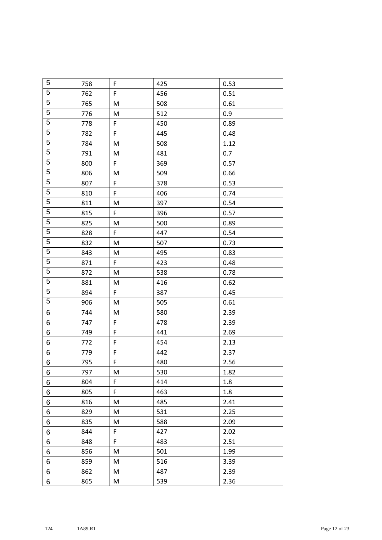| 5              | 758 | $\mathsf F$ | 425 | 0.53 |
|----------------|-----|-------------|-----|------|
| 5              | 762 | F           | 456 | 0.51 |
| 5              | 765 | M           | 508 | 0.61 |
| 5              | 776 | M           | 512 | 0.9  |
| $\overline{5}$ | 778 | F           | 450 | 0.89 |
| 5              | 782 | F           | 445 | 0.48 |
| $\overline{5}$ | 784 | M           | 508 | 1.12 |
| 5              | 791 | M           | 481 | 0.7  |
| 5              | 800 | F           | 369 | 0.57 |
| $\overline{5}$ | 806 | M           | 509 | 0.66 |
| $\overline{5}$ | 807 | F           | 378 | 0.53 |
| 5              | 810 | F           | 406 | 0.74 |
| $\overline{5}$ | 811 | M           | 397 | 0.54 |
| $\overline{5}$ | 815 | F           | 396 | 0.57 |
| 5              | 825 | M           | 500 | 0.89 |
| 5              | 828 | F           | 447 | 0.54 |
| $\overline{5}$ | 832 | M           | 507 | 0.73 |
| 5              | 843 | M           | 495 | 0.83 |
| $\overline{5}$ | 871 | F.          | 423 | 0.48 |
| $\overline{5}$ | 872 | M           | 538 | 0.78 |
| 5              | 881 | M           | 416 | 0.62 |
| $\overline{5}$ | 894 | F           | 387 | 0.45 |
| 5              | 906 | M           | 505 | 0.61 |
| 6              | 744 | M           | 580 | 2.39 |
| 6              | 747 | F           | 478 | 2.39 |
| 6              | 749 | $\mathsf F$ | 441 | 2.69 |
| $\,6$          | 772 | F           | 454 | 2.13 |
| $\,6$          | 779 | F           | 442 | 2.37 |
| $6\phantom{a}$ | 795 | F           | 480 | 2.56 |
| 6              | 797 | M           | 530 | 1.82 |
| 6              | 804 | F           | 414 | 1.8  |
| 6              | 805 | F           | 463 | 1.8  |
| 6              | 816 | M           | 485 | 2.41 |
| 6              | 829 | M           | 531 | 2.25 |
| 6              | 835 | M           | 588 | 2.09 |
| 6              | 844 | F           | 427 | 2.02 |
| 6              | 848 | F           | 483 | 2.51 |
| 6              | 856 | M           | 501 | 1.99 |
| 6              | 859 | M           | 516 | 3.39 |
| 6              | 862 | M           | 487 | 2.39 |
| 6              | 865 | M           | 539 | 2.36 |
|                |     |             |     |      |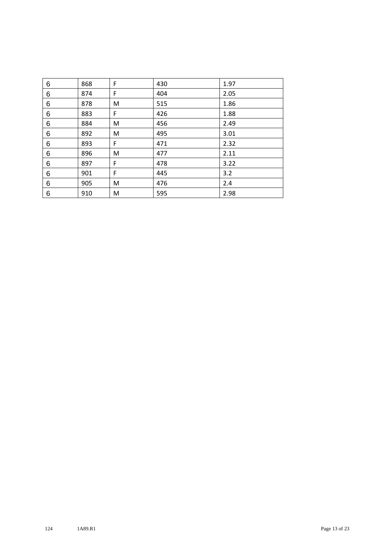| 6 | 868 | F | 430 | 1.97 |
|---|-----|---|-----|------|
| 6 | 874 | F | 404 | 2.05 |
| 6 | 878 | M | 515 | 1.86 |
| 6 | 883 | F | 426 | 1.88 |
| 6 | 884 | M | 456 | 2.49 |
| 6 | 892 | M | 495 | 3.01 |
| 6 | 893 | F | 471 | 2.32 |
| 6 | 896 | M | 477 | 2.11 |
| 6 | 897 | F | 478 | 3.22 |
| 6 | 901 | F | 445 | 3.2  |
| 6 | 905 | M | 476 | 2.4  |
| 6 | 910 | M | 595 | 2.98 |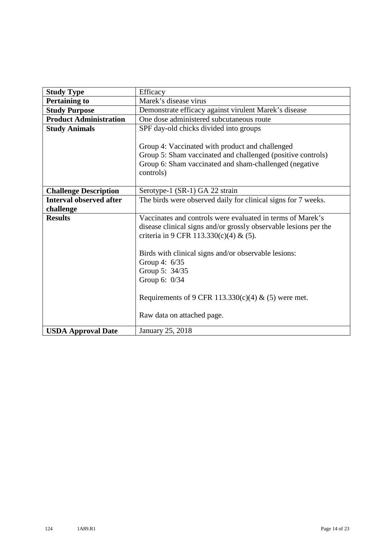| <b>Study Type</b>              | Efficacy                                                                                                                                                                              |  |  |  |  |  |  |  |
|--------------------------------|---------------------------------------------------------------------------------------------------------------------------------------------------------------------------------------|--|--|--|--|--|--|--|
| <b>Pertaining to</b>           | Marek's disease virus                                                                                                                                                                 |  |  |  |  |  |  |  |
| <b>Study Purpose</b>           | Demonstrate efficacy against virulent Marek's disease                                                                                                                                 |  |  |  |  |  |  |  |
| <b>Product Administration</b>  | One dose administered subcutaneous route                                                                                                                                              |  |  |  |  |  |  |  |
| <b>Study Animals</b>           | SPF day-old chicks divided into groups                                                                                                                                                |  |  |  |  |  |  |  |
|                                | Group 4: Vaccinated with product and challenged<br>Group 5: Sham vaccinated and challenged (positive controls)<br>Group 6: Sham vaccinated and sham-challenged (negative<br>controls) |  |  |  |  |  |  |  |
| <b>Challenge Description</b>   | Serotype-1 (SR-1) GA 22 strain                                                                                                                                                        |  |  |  |  |  |  |  |
| <b>Interval observed after</b> | The birds were observed daily for clinical signs for 7 weeks.                                                                                                                         |  |  |  |  |  |  |  |
| challenge                      |                                                                                                                                                                                       |  |  |  |  |  |  |  |
| <b>Results</b>                 | Vaccinates and controls were evaluated in terms of Marek's                                                                                                                            |  |  |  |  |  |  |  |
|                                | disease clinical signs and/or grossly observable lesions per the                                                                                                                      |  |  |  |  |  |  |  |
|                                | criteria in 9 CFR 113.330(c)(4) & (5).                                                                                                                                                |  |  |  |  |  |  |  |
|                                | Birds with clinical signs and/or observable lesions:<br>Group 4: 6/35<br>Group 5: 34/35<br>Group 6: 0/34                                                                              |  |  |  |  |  |  |  |
|                                | Requirements of 9 CFR 113.330(c)(4) & (5) were met.                                                                                                                                   |  |  |  |  |  |  |  |
|                                | Raw data on attached page.                                                                                                                                                            |  |  |  |  |  |  |  |
| <b>USDA Approval Date</b>      | January 25, 2018                                                                                                                                                                      |  |  |  |  |  |  |  |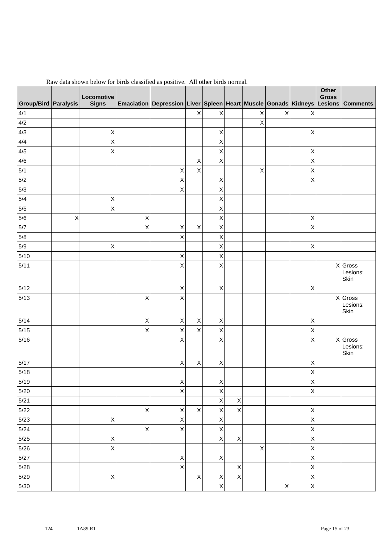| Group/Bird   Paralysis |   | Locomotive<br><b>Signs</b> |                           | Emaciation   Depression   Liver   Spleen   Heart   Muscle   Gonads   Kidneys   Lesions   Comments |             |                    |                |                           |                |                | Other<br><b>Gross</b> |                               |
|------------------------|---|----------------------------|---------------------------|---------------------------------------------------------------------------------------------------|-------------|--------------------|----------------|---------------------------|----------------|----------------|-----------------------|-------------------------------|
| 4/1                    |   |                            |                           |                                                                                                   | Χ           | X                  |                | $\mathsf X$               | $\sf X$        | Χ              |                       |                               |
| 4/2                    |   |                            |                           |                                                                                                   |             |                    |                | X                         |                |                |                       |                               |
| 4/3                    |   | $\mathsf X$                |                           |                                                                                                   |             | X                  |                |                           |                | Χ              |                       |                               |
| 4/4                    |   | X                          |                           |                                                                                                   |             | $\pmb{\mathsf{X}}$ |                |                           |                |                |                       |                               |
| 4/5                    |   | $\mathsf X$                |                           |                                                                                                   |             | $\pmb{\mathsf{X}}$ |                |                           |                | $\mathsf X$    |                       |                               |
| 4/6                    |   |                            |                           |                                                                                                   | X           | $\pmb{\mathsf{X}}$ |                |                           |                | Χ              |                       |                               |
| 5/1                    |   |                            |                           | X                                                                                                 | X           |                    |                | $\mathsf X$               |                | X              |                       |                               |
| 5/2                    |   |                            |                           | X                                                                                                 |             | X                  |                |                           |                | X              |                       |                               |
| 5/3                    |   |                            |                           | X                                                                                                 |             | X                  |                |                           |                |                |                       |                               |
| 5/4                    |   | Χ                          |                           |                                                                                                   |             | X                  |                |                           |                |                |                       |                               |
| $5/5$                  |   | Χ                          |                           |                                                                                                   |             | $\sf X$            |                |                           |                |                |                       |                               |
| 5/6                    | X |                            | Χ                         |                                                                                                   |             | $\mathsf X$        |                |                           |                | Χ              |                       |                               |
| 5/7                    |   |                            | X                         | X                                                                                                 | $\mathsf X$ | Χ                  |                |                           |                | Χ              |                       |                               |
| $5/8$                  |   |                            |                           | X                                                                                                 |             | $\sf X$            |                |                           |                |                |                       |                               |
| 5/9                    |   | Χ                          |                           |                                                                                                   |             | $\pmb{\mathsf{X}}$ |                |                           |                | Χ              |                       |                               |
| $5/10$                 |   |                            |                           | X                                                                                                 |             | $\pmb{\mathsf{X}}$ |                |                           |                |                |                       |                               |
| 5/11                   |   |                            |                           | X                                                                                                 |             | Χ                  |                |                           |                |                |                       | X Gross<br>Lesions:<br>Skin   |
| $5/12$                 |   |                            |                           | $\pmb{\times}$                                                                                    |             | $\sf X$            |                |                           |                | $\pmb{\times}$ |                       |                               |
| 5/13                   |   |                            | Χ                         | X                                                                                                 |             |                    |                |                           |                |                |                       | $X$ Gross<br>Lesions:<br>Skin |
| $5/14$                 |   |                            | $\mathsf X$               | $\mathsf X$                                                                                       | X           | X                  |                |                           |                | Χ              |                       |                               |
| $5/15$                 |   |                            | $\boldsymbol{\mathsf{X}}$ | $\pmb{\times}$                                                                                    | $\mathsf X$ | $\sf X$            |                |                           |                | $\mathsf X$    |                       |                               |
| $5/16$                 |   |                            |                           | X                                                                                                 |             | Χ                  |                |                           |                | Χ              |                       | X Gross<br>Lesions:<br>Skin   |
| $5/17$                 |   |                            |                           | $\pmb{\times}$                                                                                    | X           | $\sf X$            |                |                           |                | Χ              |                       |                               |
| $5/18$                 |   |                            |                           |                                                                                                   |             |                    |                |                           |                | $\mathsf X$    |                       |                               |
| $5/19$                 |   |                            |                           | $\pmb{\times}$                                                                                    |             | $\sf X$            |                |                           |                | $\mathsf X$    |                       |                               |
| $5/20$                 |   |                            |                           | $\pmb{\times}$                                                                                    |             | X                  |                |                           |                | $\mathsf X$    |                       |                               |
| $5/21$                 |   |                            |                           |                                                                                                   |             | $\mathsf X$        | $\sf X$        |                           |                |                |                       |                               |
| $5/22$                 |   |                            | $\boldsymbol{\mathsf{X}}$ | X                                                                                                 | $\mathsf X$ | $\mathsf X$        | $\pmb{\times}$ |                           |                | X              |                       |                               |
| $5/23$                 |   | $\sf X$                    |                           | X                                                                                                 |             | $\mathsf X$        |                |                           |                | X              |                       |                               |
| $5/24$                 |   |                            | $\boldsymbol{\mathsf{X}}$ | X                                                                                                 |             | $\mathsf X$        |                |                           |                | X              |                       |                               |
| $5/25$                 |   | $\pmb{\mathsf{X}}$         |                           |                                                                                                   |             | $\sf X$            | $\sf X$        |                           |                | $\mathsf X$    |                       |                               |
| $5/26$                 |   | Χ                          |                           |                                                                                                   |             |                    |                | $\boldsymbol{\mathsf{X}}$ |                | X              |                       |                               |
| $5/27$                 |   |                            |                           | X                                                                                                 |             | $\pmb{\mathsf{X}}$ |                |                           |                | X              |                       |                               |
| $5/28$                 |   |                            |                           | X                                                                                                 |             |                    | $\sf X$        |                           |                | X              |                       |                               |
| $5/29$                 |   | $\mathsf X$                |                           |                                                                                                   | $\mathsf X$ | $\mathsf X$        | $\mathsf{X}$   |                           |                | X              |                       |                               |
| $5/30$                 |   |                            |                           |                                                                                                   |             | $\sf X$            |                |                           | $\pmb{\times}$ | $\mathsf X$    |                       |                               |

Raw data shown below for birds classified as positive. All other birds normal.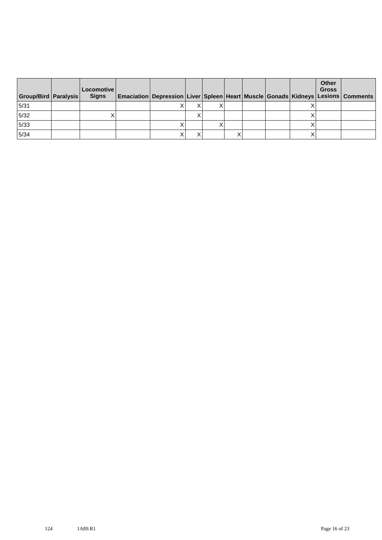| Group/Bird   Paralysis | Locomotive  <br><b>Signs</b> | Emaciation Depression Liver Spleen Heart Muscle Gonads Kidneys Lesions Comments |  |  |  | Other<br><b>Gross</b> |  |
|------------------------|------------------------------|---------------------------------------------------------------------------------|--|--|--|-----------------------|--|
| 5/31                   |                              |                                                                                 |  |  |  |                       |  |
| $5/32$                 |                              |                                                                                 |  |  |  |                       |  |
| 5/33                   |                              |                                                                                 |  |  |  |                       |  |
| 5/34                   |                              |                                                                                 |  |  |  |                       |  |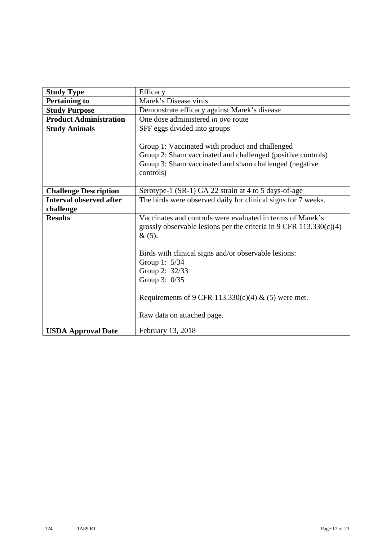| <b>Study Type</b>              | Efficacy                                                                                                                                                                              |  |  |  |  |  |  |  |  |
|--------------------------------|---------------------------------------------------------------------------------------------------------------------------------------------------------------------------------------|--|--|--|--|--|--|--|--|
| <b>Pertaining to</b>           | Marek's Disease virus                                                                                                                                                                 |  |  |  |  |  |  |  |  |
| <b>Study Purpose</b>           | Demonstrate efficacy against Marek's disease                                                                                                                                          |  |  |  |  |  |  |  |  |
| <b>Product Administration</b>  | One dose administered <i>in ovo</i> route                                                                                                                                             |  |  |  |  |  |  |  |  |
| <b>Study Animals</b>           | SPF eggs divided into groups                                                                                                                                                          |  |  |  |  |  |  |  |  |
|                                | Group 1: Vaccinated with product and challenged<br>Group 2: Sham vaccinated and challenged (positive controls)<br>Group 3: Sham vaccinated and sham challenged (negative<br>controls) |  |  |  |  |  |  |  |  |
| <b>Challenge Description</b>   | Serotype-1 (SR-1) GA 22 strain at 4 to 5 days-of-age                                                                                                                                  |  |  |  |  |  |  |  |  |
| <b>Interval observed after</b> | The birds were observed daily for clinical signs for 7 weeks.                                                                                                                         |  |  |  |  |  |  |  |  |
| challenge                      |                                                                                                                                                                                       |  |  |  |  |  |  |  |  |
| <b>Results</b>                 | Vaccinates and controls were evaluated in terms of Marek's                                                                                                                            |  |  |  |  |  |  |  |  |
|                                | grossly observable lesions per the criteria in $9 \text{ CFR } 113.330(c)(4)$                                                                                                         |  |  |  |  |  |  |  |  |
|                                | &(5).                                                                                                                                                                                 |  |  |  |  |  |  |  |  |
|                                | Birds with clinical signs and/or observable lesions:                                                                                                                                  |  |  |  |  |  |  |  |  |
|                                | Group 1: 5/34                                                                                                                                                                         |  |  |  |  |  |  |  |  |
|                                | Group 2: 32/33                                                                                                                                                                        |  |  |  |  |  |  |  |  |
|                                | Group 3: 0/35                                                                                                                                                                         |  |  |  |  |  |  |  |  |
|                                |                                                                                                                                                                                       |  |  |  |  |  |  |  |  |
|                                | Requirements of 9 CFR 113.330(c)(4) & (5) were met.                                                                                                                                   |  |  |  |  |  |  |  |  |
|                                | Raw data on attached page.                                                                                                                                                            |  |  |  |  |  |  |  |  |
| <b>USDA Approval Date</b>      | February 13, 2018                                                                                                                                                                     |  |  |  |  |  |  |  |  |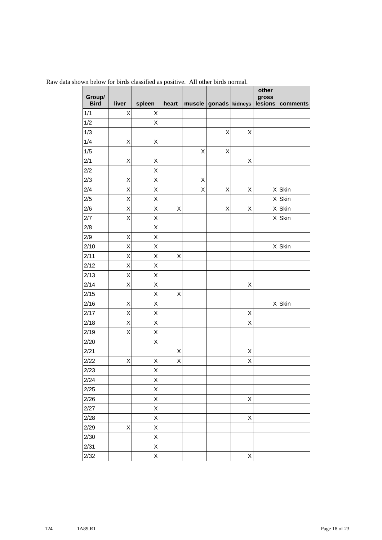| Group/<br><b>Bird</b> | liver              | spleen                  | heart |   | muscle gonads kidneys |   | other<br>gross | lesions comments |
|-----------------------|--------------------|-------------------------|-------|---|-----------------------|---|----------------|------------------|
| 1/1                   | Χ                  | Χ                       |       |   |                       |   |                |                  |
| 1/2                   |                    | Χ                       |       |   |                       |   |                |                  |
| 1/3                   |                    |                         |       |   | Χ                     | X |                |                  |
| 1/4                   | Χ                  | X                       |       |   |                       |   |                |                  |
| 1/5                   |                    |                         |       | X | X                     |   |                |                  |
| 2/1                   | $\mathsf X$        | X                       |       |   |                       | X |                |                  |
| 2/2                   |                    | X                       |       |   |                       |   |                |                  |
| 2/3                   | $\pmb{\mathsf{X}}$ | X                       |       | X |                       |   |                |                  |
| 2/4                   | X                  | X                       |       | X | X                     | X |                | X Skin           |
| 2/5                   | X                  | X                       |       |   |                       |   |                | X Skin           |
| 2/6                   | X                  | X                       | X     |   | X                     | X | x              | Skin             |
| 2/7                   | X                  | X                       |       |   |                       |   | $\mathsf{X}$   | Skin             |
| 2/8                   |                    | X                       |       |   |                       |   |                |                  |
| 2/9                   | X                  | X                       |       |   |                       |   |                |                  |
| 2/10                  | X                  | X                       |       |   |                       |   |                | X Skin           |
| 2/11                  | X                  | X                       | X     |   |                       |   |                |                  |
| 2/12                  | X                  | X                       |       |   |                       |   |                |                  |
| 2/13                  | X                  | X                       |       |   |                       |   |                |                  |
| 2/14                  | X                  | Χ                       |       |   |                       | X |                |                  |
| 2/15                  |                    | X                       | Χ     |   |                       |   |                |                  |
| 2/16                  | X                  | X                       |       |   |                       |   |                | X Skin           |
| 2/17                  | X                  | X                       |       |   |                       | Χ |                |                  |
| 2/18                  | X                  | Χ                       |       |   |                       | X |                |                  |
| 2/19                  | X                  | X                       |       |   |                       |   |                |                  |
| 2/20                  |                    | X                       |       |   |                       |   |                |                  |
| 2/21                  |                    |                         | Χ     |   |                       | X |                |                  |
| 2/22                  | Χ                  | Χ                       | Χ     |   |                       | X |                |                  |
| 2/23                  |                    | $\overline{\mathsf{x}}$ |       |   |                       |   |                |                  |
| 2/24                  |                    | X                       |       |   |                       |   |                |                  |
| 2/25                  |                    | X                       |       |   |                       |   |                |                  |
| 2/26                  |                    | X                       |       |   |                       | X |                |                  |
| 2/27                  |                    | X                       |       |   |                       |   |                |                  |
| 2/28                  |                    | X                       |       |   |                       | X |                |                  |
| 2/29                  | X                  | X                       |       |   |                       |   |                |                  |
| 2/30                  |                    | X                       |       |   |                       |   |                |                  |
| 2/31                  |                    | X                       |       |   |                       |   |                |                  |
| 2/32                  |                    | X                       |       |   |                       | X |                |                  |

Raw data shown below for birds classified as positive. All other birds normal.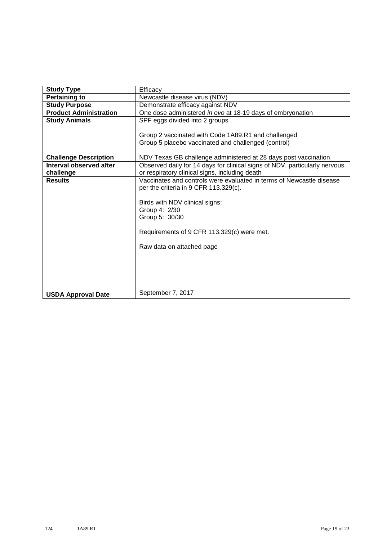| <b>Study Type</b>             | Efficacy                                                                                                                                     |  |  |  |  |  |  |  |  |
|-------------------------------|----------------------------------------------------------------------------------------------------------------------------------------------|--|--|--|--|--|--|--|--|
| <b>Pertaining to</b>          | Newcastle disease virus (NDV)                                                                                                                |  |  |  |  |  |  |  |  |
| <b>Study Purpose</b>          | Demonstrate efficacy against NDV                                                                                                             |  |  |  |  |  |  |  |  |
| <b>Product Administration</b> | One dose administered in ovo at 18-19 days of embryonation                                                                                   |  |  |  |  |  |  |  |  |
| <b>Study Animals</b>          | SPF eggs divided into 2 groups                                                                                                               |  |  |  |  |  |  |  |  |
|                               | Group 2 vaccinated with Code 1A89.R1 and challenged<br>Group 5 placebo vaccinated and challenged (control)                                   |  |  |  |  |  |  |  |  |
| <b>Challenge Description</b>  | NDV Texas GB challenge administered at 28 days post vaccination                                                                              |  |  |  |  |  |  |  |  |
| Interval observed after       | Observed daily for 14 days for clinical signs of NDV, particularly nervous                                                                   |  |  |  |  |  |  |  |  |
| challenge                     | or respiratory clinical signs, including death                                                                                               |  |  |  |  |  |  |  |  |
| <b>Results</b>                | Vaccinates and controls were evaluated in terms of Newcastle disease                                                                         |  |  |  |  |  |  |  |  |
|                               | per the criteria in 9 CFR 113.329(c).                                                                                                        |  |  |  |  |  |  |  |  |
|                               | Birds with NDV clinical signs:<br>Group 4: 2/30<br>Group 5: 30/30<br>Requirements of 9 CFR 113.329(c) were met.<br>Raw data on attached page |  |  |  |  |  |  |  |  |
| <b>USDA Approval Date</b>     | September 7, 2017                                                                                                                            |  |  |  |  |  |  |  |  |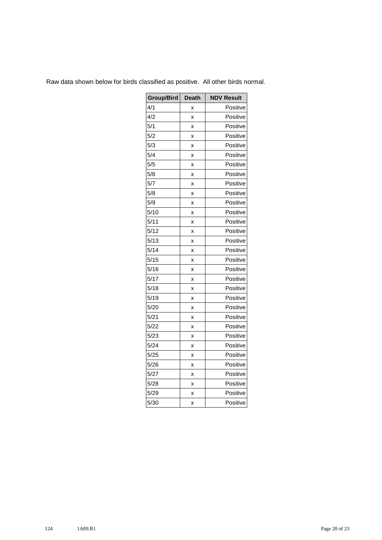| Group/Bird | <b>Death</b> | <b>NDV Result</b> |
|------------|--------------|-------------------|
| 4/1        | X            | Positive          |
| 4/2        | x            | Positive          |
| 5/1        | X            | Positive          |
| 5/2        | x            | Positive          |
| 5/3        | X            | Positive          |
| 5/4        | X            | Positive          |
| 5/5        | x            | Positive          |
| 5/6        | X            | Positive          |
| 5/7        | X            | Positive          |
| 5/8        | x            | Positive          |
| 5/9        | X            | Positive          |
| 5/10       | X            | Positive          |
| 5/11       | x            | Positive          |
| 5/12       | X            | Positive          |
| 5/13       | X            | Positive          |
| 5/14       | x            | Positive          |
| 5/15       | X            | Positive          |
| 5/16       | X            | Positive          |
| 5/17       | x            | Positive          |
| 5/18       | X            | Positive          |
| 5/19       | x            | Positive          |
| 5/20       | x            | Positive          |
| 5/21       | X            | Positive          |
| 5/22       | x            | Positive          |
| 5/23       | x            | Positive          |
| 5/24       | x            | Positive          |
| 5/25       | x            | Positive          |
| 5/26       | x            | Positive          |
| 5/27       | x            | Positive          |
| 5/28       | x            | Positive          |
| 5/29       | x            | Positive          |
| 5/30       | X            | Positive          |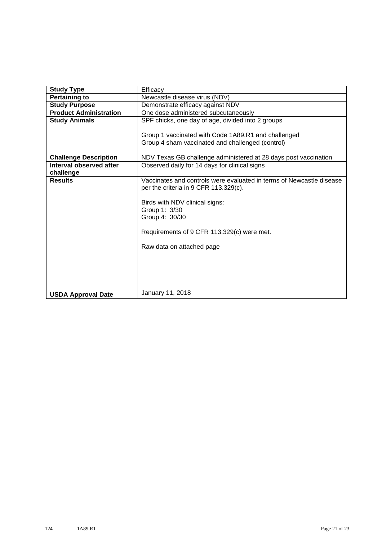| <b>Study Type</b>             | Efficacy                                                             |  |  |  |  |  |  |  |
|-------------------------------|----------------------------------------------------------------------|--|--|--|--|--|--|--|
| <b>Pertaining to</b>          | Newcastle disease virus (NDV)                                        |  |  |  |  |  |  |  |
| <b>Study Purpose</b>          | Demonstrate efficacy against NDV                                     |  |  |  |  |  |  |  |
| <b>Product Administration</b> | One dose administered subcutaneously                                 |  |  |  |  |  |  |  |
| <b>Study Animals</b>          | SPF chicks, one day of age, divided into 2 groups                    |  |  |  |  |  |  |  |
|                               |                                                                      |  |  |  |  |  |  |  |
|                               | Group 1 vaccinated with Code 1A89.R1 and challenged                  |  |  |  |  |  |  |  |
|                               | Group 4 sham vaccinated and challenged (control)                     |  |  |  |  |  |  |  |
|                               |                                                                      |  |  |  |  |  |  |  |
| <b>Challenge Description</b>  | NDV Texas GB challenge administered at 28 days post vaccination      |  |  |  |  |  |  |  |
| Interval observed after       | Observed daily for 14 days for clinical signs                        |  |  |  |  |  |  |  |
| challenge                     |                                                                      |  |  |  |  |  |  |  |
| <b>Results</b>                | Vaccinates and controls were evaluated in terms of Newcastle disease |  |  |  |  |  |  |  |
|                               | per the criteria in 9 CFR 113.329(c).                                |  |  |  |  |  |  |  |
|                               |                                                                      |  |  |  |  |  |  |  |
|                               | Birds with NDV clinical signs:                                       |  |  |  |  |  |  |  |
|                               | Group 1: 3/30                                                        |  |  |  |  |  |  |  |
|                               | Group 4: 30/30                                                       |  |  |  |  |  |  |  |
|                               |                                                                      |  |  |  |  |  |  |  |
|                               | Requirements of 9 CFR 113.329(c) were met.                           |  |  |  |  |  |  |  |
|                               | Raw data on attached page                                            |  |  |  |  |  |  |  |
|                               |                                                                      |  |  |  |  |  |  |  |
|                               |                                                                      |  |  |  |  |  |  |  |
|                               |                                                                      |  |  |  |  |  |  |  |
|                               |                                                                      |  |  |  |  |  |  |  |
|                               |                                                                      |  |  |  |  |  |  |  |
|                               |                                                                      |  |  |  |  |  |  |  |
| <b>USDA Approval Date</b>     | January 11, 2018                                                     |  |  |  |  |  |  |  |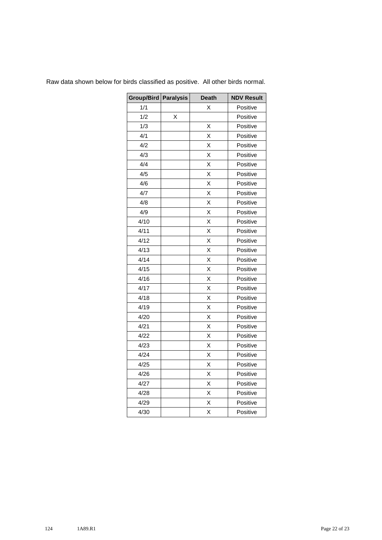| Group/Bird   Paralysis |   | <b>Death</b> | <b>NDV Result</b> |
|------------------------|---|--------------|-------------------|
| 1/1                    |   | X            | Positive          |
| 1/2                    | X |              | Positive          |
| 1/3                    |   | Χ            | Positive          |
| 4/1                    |   | X            | Positive          |
| 4/2                    |   | X            | Positive          |
| 4/3                    |   | X            | Positive          |
| 4/4                    |   | X            | Positive          |
| 4/5                    |   | X            | Positive          |
| 4/6                    |   | X            | Positive          |
| 4/7                    |   | X            | Positive          |
| 4/8                    |   | X            | Positive          |
| 4/9                    |   | Χ            | Positive          |
| 4/10                   |   | X            | Positive          |
| 4/11                   |   | Χ            | Positive          |
| 4/12                   |   | X            | Positive          |
| 4/13                   |   | X            | Positive          |
| 4/14                   |   | X            | Positive          |
| 4/15                   |   | X            | Positive          |
| 4/16                   |   | X            | Positive          |
| 4/17                   |   | X            | Positive          |
| 4/18                   |   | X            | Positive          |
| 4/19                   |   | X            | Positive          |
| 4/20                   |   | X            | Positive          |
| 4/21                   |   | Χ            | Positive          |
| 4/22                   |   | X            | Positive          |
| 4/23                   |   | Χ            | Positive          |
| 4/24                   |   | X            | Positive          |
| 4/25                   |   | X            | Positive          |
| 4/26                   |   | X            | Positive          |
| 4/27                   |   | X            | Positive          |
| 4/28                   |   | X            | Positive          |
| 4/29                   |   | X            | Positive          |
| 4/30                   |   | X            | Positive          |